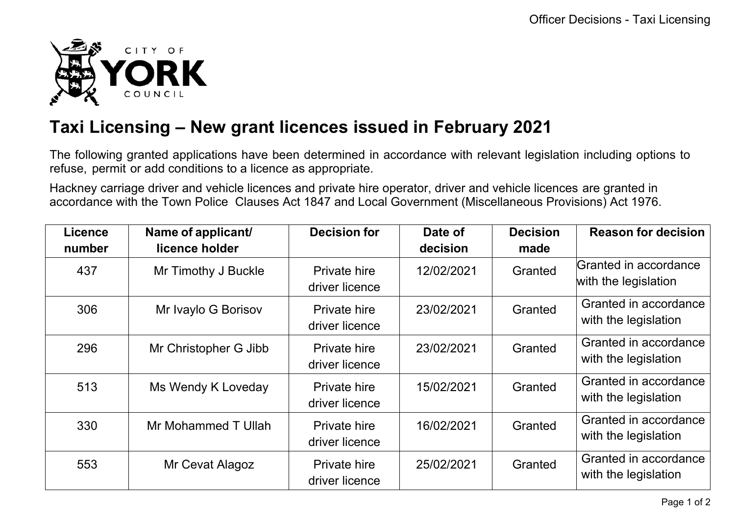

## **Taxi Licensing – New grant licences issued in February 2021**

The following granted applications have been determined in accordance with relevant legislation including options to refuse, permit or add conditions to a licence as appropriate.

Hackney carriage driver and vehicle licences and private hire operator, driver and vehicle licences are granted in accordance with the Town Police Clauses Act 1847 and Local Government (Miscellaneous Provisions) Act 1976.

| <b>Licence</b><br>number | Name of applicant/<br>licence holder | <b>Decision for</b>                   | Date of<br>decision | <b>Decision</b><br>made | <b>Reason for decision</b>                    |
|--------------------------|--------------------------------------|---------------------------------------|---------------------|-------------------------|-----------------------------------------------|
| 437                      | Mr Timothy J Buckle                  | <b>Private hire</b><br>driver licence | 12/02/2021          | Granted                 | Granted in accordance<br>with the legislation |
| 306                      | Mr Ivaylo G Borisov                  | <b>Private hire</b><br>driver licence | 23/02/2021          | Granted                 | Granted in accordance<br>with the legislation |
| 296                      | Mr Christopher G Jibb                | Private hire<br>driver licence        | 23/02/2021          | Granted                 | Granted in accordance<br>with the legislation |
| 513                      | Ms Wendy K Loveday                   | <b>Private hire</b><br>driver licence | 15/02/2021          | Granted                 | Granted in accordance<br>with the legislation |
| 330                      | Mr Mohammed T Ullah                  | <b>Private hire</b><br>driver licence | 16/02/2021          | Granted                 | Granted in accordance<br>with the legislation |
| 553                      | Mr Cevat Alagoz                      | <b>Private hire</b><br>driver licence | 25/02/2021          | Granted                 | Granted in accordance<br>with the legislation |